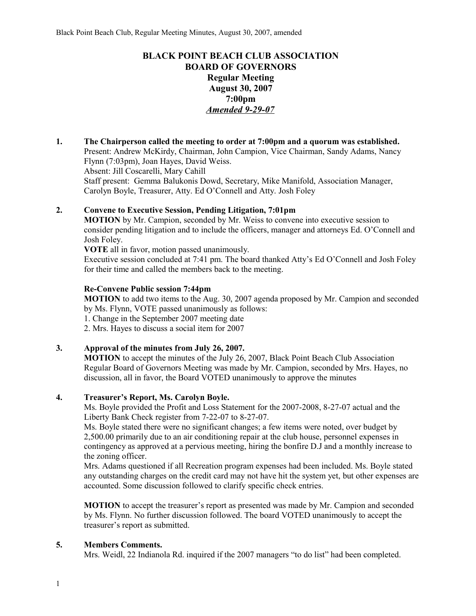# **BLACK POINT BEACH CLUB ASSOCIATION BOARD OF GOVERNORS Regular Meeting August 30, 2007 7:00pm** *Amended 9-29-07*

**1. The Chairperson called the meeting to order at 7:00pm and a quorum was established.**  Present: Andrew McKirdy, Chairman, John Campion, Vice Chairman, Sandy Adams, Nancy Flynn (7:03pm), Joan Hayes, David Weiss. Absent: Jill Coscarelli, Mary Cahill Staff present: Gemma Balukonis Dowd, Secretary, Mike Manifold, Association Manager, Carolyn Boyle, Treasurer, Atty. Ed O'Connell and Atty. Josh Foley

## **2. Convene to Executive Session, Pending Litigation, 7:01pm**

**MOTION** by Mr. Campion, seconded by Mr. Weiss to convene into executive session to consider pending litigation and to include the officers, manager and attorneys Ed. O'Connell and Josh Foley.

**VOTE** all in favor, motion passed unanimously.

Executive session concluded at 7:41 pm. The board thanked Atty's Ed O'Connell and Josh Foley for their time and called the members back to the meeting.

## **Re-Convene Public session 7:44pm**

**MOTION** to add two items to the Aug. 30, 2007 agenda proposed by Mr. Campion and seconded by Ms. Flynn, VOTE passed unanimously as follows:

1. Change in the September 2007 meeting date

2. Mrs. Hayes to discuss a social item for 2007

## **3. Approval of the minutes from July 26, 2007.**

**MOTION** to accept the minutes of the July 26, 2007, Black Point Beach Club Association Regular Board of Governors Meeting was made by Mr. Campion, seconded by Mrs. Hayes, no discussion, all in favor, the Board VOTED unanimously to approve the minutes

## **4. Treasurer's Report, Ms. Carolyn Boyle.**

Ms. Boyle provided the Profit and Loss Statement for the 2007-2008, 8-27-07 actual and the Liberty Bank Check register from 7-22-07 to 8-27-07.

Ms. Boyle stated there were no significant changes; a few items were noted, over budget by 2,500.00 primarily due to an air conditioning repair at the club house, personnel expenses in contingency as approved at a pervious meeting, hiring the bonfire D.J and a monthly increase to the zoning officer.

Mrs. Adams questioned if all Recreation program expenses had been included. Ms. Boyle stated any outstanding charges on the credit card may not have hit the system yet, but other expenses are accounted. Some discussion followed to clarify specific check entries.

**MOTION** to accept the treasurer's report as presented was made by Mr. Campion and seconded by Ms. Flynn. No further discussion followed. The board VOTED unanimously to accept the treasurer's report as submitted.

## **5. Members Comments.**

Mrs. Weidl, 22 Indianola Rd. inquired if the 2007 managers "to do list" had been completed.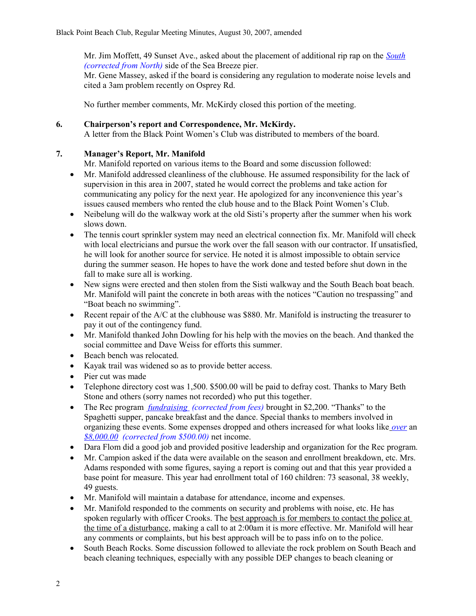Mr. Jim Moffett, 49 Sunset Ave., asked about the placement of additional rip rap on the *South (corrected from North)* side of the Sea Breeze pier.

Mr. Gene Massey, asked if the board is considering any regulation to moderate noise levels and cited a 3am problem recently on Osprey Rd.

No further member comments, Mr. McKirdy closed this portion of the meeting.

## **6. Chairperson's report and Correspondence, Mr. McKirdy.**

A letter from the Black Point Women's Club was distributed to members of the board.

## **7. Manager's Report, Mr. Manifold**

Mr. Manifold reported on various items to the Board and some discussion followed:

- Mr. Manifold addressed cleanliness of the clubhouse. He assumed responsibility for the lack of supervision in this area in 2007, stated he would correct the problems and take action for communicating any policy for the next year. He apologized for any inconvenience this year's issues caused members who rented the club house and to the Black Point Women's Club.
- Neibelung will do the walkway work at the old Sisti's property after the summer when his work slows down.
- The tennis court sprinkler system may need an electrical connection fix. Mr. Manifold will check with local electricians and pursue the work over the fall season with our contractor. If unsatisfied, he will look for another source for service. He noted it is almost impossible to obtain service during the summer season. He hopes to have the work done and tested before shut down in the fall to make sure all is working.
- New signs were erected and then stolen from the Sisti walkway and the South Beach boat beach. Mr. Manifold will paint the concrete in both areas with the notices "Caution no trespassing" and "Boat beach no swimming".
- Execent repair of the  $A/C$  at the clubhouse was \$880. Mr. Manifold is instructing the treasurer to pay it out of the contingency fund.
- Mr. Manifold thanked John Dowling for his help with the movies on the beach. And thanked the social committee and Dave Weiss for efforts this summer.
- Beach bench was relocated.
- Kayak trail was widened so as to provide better access.
- Pier cut was made
- Telephone directory cost was 1,500, \$500,00 will be paid to defray cost. Thanks to Mary Beth Stone and others (sorry names not recorded) who put this together.
- The Rec program *fundraising (corrected from fees)* brought in \$2,200. "Thanks" to the Spaghetti supper, pancake breakfast and the dance. Special thanks to members involved in organizing these events. Some expenses dropped and others increased for what looks like *over* an *\$8,000.00 (corrected from \$500.00)* net income.
- Dara Flom did a good job and provided positive leadership and organization for the Rec program.
- Mr. Campion asked if the data were available on the season and enrollment breakdown, etc. Mrs. Adams responded with some figures, saying a report is coming out and that this year provided a base point for measure. This year had enrollment total of 160 children: 73 seasonal, 38 weekly, 49 guests.
- Mr. Manifold will maintain a database for attendance, income and expenses.
- Mr. Manifold responded to the comments on security and problems with noise, etc. He has spoken regularly with officer Crooks. The best approach is for members to contact the police at the time of a disturbance, making a call to at 2:00am it is more effective. Mr. Manifold will hear any comments or complaints, but his best approach will be to pass info on to the police.
- South Beach Rocks. Some discussion followed to alleviate the rock problem on South Beach and beach cleaning techniques, especially with any possible DEP changes to beach cleaning or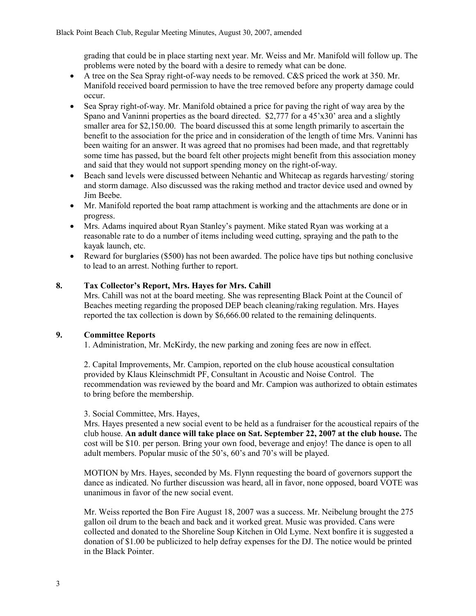grading that could be in place starting next year. Mr. Weiss and Mr. Manifold will follow up. The problems were noted by the board with a desire to remedy what can be done.

- A tree on the Sea Spray right-of-way needs to be removed. C&S priced the work at 350. Mr. Manifold received board permission to have the tree removed before any property damage could occur.
- Sea Spray right-of-way. Mr. Manifold obtained a price for paving the right of way area by the Spano and Vaninni properties as the board directed. \$2,777 for a 45'x30' area and a slightly smaller area for \$2,150.00. The board discussed this at some length primarily to ascertain the benefit to the association for the price and in consideration of the length of time Mrs. Vaninni has been waiting for an answer. It was agreed that no promises had been made, and that regrettably some time has passed, but the board felt other projects might benefit from this association money and said that they would not support spending money on the right-of-way.
- Beach sand levels were discussed between Nehantic and Whitecap as regards harvesting/ storing and storm damage. Also discussed was the raking method and tractor device used and owned by Jim Beebe.
- Mr. Manifold reported the boat ramp attachment is working and the attachments are done or in progress.
- Mrs. Adams inquired about Ryan Stanley's payment. Mike stated Ryan was working at a reasonable rate to do a number of items including weed cutting, spraying and the path to the kayak launch, etc.
- Reward for burglaries (\$500) has not been awarded. The police have tips but nothing conclusive to lead to an arrest. Nothing further to report.

## **8. Tax Collector's Report, Mrs. Hayes for Mrs. Cahill**

Mrs. Cahill was not at the board meeting. She was representing Black Point at the Council of Beaches meeting regarding the proposed DEP beach cleaning/raking regulation. Mrs. Hayes reported the tax collection is down by \$6,666.00 related to the remaining delinquents.

## **9. Committee Reports**

1. Administration, Mr. McKirdy, the new parking and zoning fees are now in effect.

2. Capital Improvements, Mr. Campion, reported on the club house acoustical consultation provided by Klaus Kleinschmidt PF, Consultant in Acoustic and Noise Control. The recommendation was reviewed by the board and Mr. Campion was authorized to obtain estimates to bring before the membership.

## 3. Social Committee, Mrs. Hayes,

Mrs. Hayes presented a new social event to be held as a fundraiser for the acoustical repairs of the club house. **An adult dance will take place on Sat. September 22, 2007 at the club house.** The cost will be \$10. per person. Bring your own food, beverage and enjoy! The dance is open to all adult members. Popular music of the 50's, 60's and 70's will be played.

MOTION by Mrs. Hayes, seconded by Ms. Flynn requesting the board of governors support the dance as indicated. No further discussion was heard, all in favor, none opposed, board VOTE was unanimous in favor of the new social event.

Mr. Weiss reported the Bon Fire August 18, 2007 was a success. Mr. Neibelung brought the 275 gallon oil drum to the beach and back and it worked great. Music was provided. Cans were collected and donated to the Shoreline Soup Kitchen in Old Lyme. Next bonfire it is suggested a donation of \$1.00 be publicized to help defray expenses for the DJ. The notice would be printed in the Black Pointer.